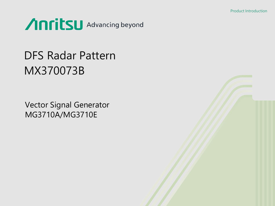

# DFS Radar Pattern MX370073B

Vector Signal Generator MG3710A/MG3710E

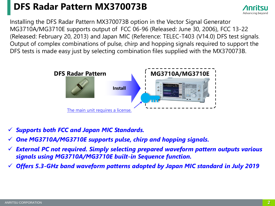### **DFS Radar Pattern MX370073B**



Installing the DFS Radar Pattern MX370073B option in the Vector Signal Generator MG3710A/MG3710E supports output of FCC 06-96 (Released: June 30, 2006), FCC 13-22 (Released: February 20, 2013) and Japan MIC (Reference: TELEC-T403 (V14.0) DFS test signals. Output of complex combinations of pulse, chirp and hopping signals required to support the DFS tests is made easy just by selecting combination files supplied with the MX370073B.



- ✓ *Supports both FCC and Japan MIC Standards.*
- One MG3710A/MG3710E supports pulse, chirp and hopping signals.
- ✓ *External PC not required. Simply selecting prepared waveform pattern outputs various signals using MG3710A/MG3710E built-in Sequence function.*
- ✓ *Offers 5.3-GHz band waveform patterns adopted by Japan MIC standard in July 2019*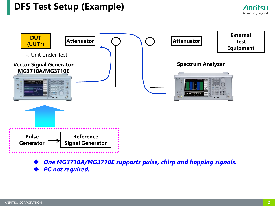### **DFS Test Setup (Example)**



**One MG3710A/MG3710E supports pulse, chirp and hopping signals.** ◆ *PC not required.*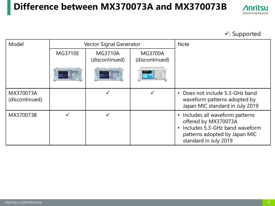### **Difference between MX370073A and MX370073B**



#### ✓: Supported

| Model                       |                | <b>Vector Signal Generator</b>   | <b>Note</b>                      |                                                                                                                                                                              |
|-----------------------------|----------------|----------------------------------|----------------------------------|------------------------------------------------------------------------------------------------------------------------------------------------------------------------------|
|                             | <b>MG3710E</b> | <b>MG3710A</b><br>(discontinued) | <b>MG3700A</b><br>(discontinued) |                                                                                                                                                                              |
|                             |                |                                  |                                  |                                                                                                                                                                              |
| MX370073A<br>(discontinued) |                | ✓                                |                                  | Does not include 5.3-GHz band<br>$\bullet$<br>waveform patterns adopted by<br>Japan MIC standard in July 2019                                                                |
| MX370073B                   |                |                                  |                                  | Includes all waveform patterns<br>$\bullet$<br>offered by MX370073A<br>Includes 5.3-GHz band waveform<br>$\bullet$<br>patterns adopted by Japan MIC<br>standard in July 2019 |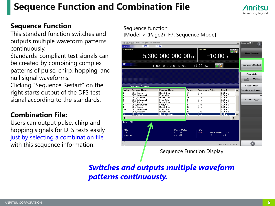### **Sequence Function and Combination File**



#### **Sequence Function**

This standard function switches and outputs multiple waveform patterns continuously.

Standards-compliant test signals can be created by combining complex patterns of pulse, chirp, hopping, and null signal waveforms.

Clicking "Sequence Restart" on the right starts output of the DFS test signal according to the standards.

### **Combination File:**

Users can output pulse, chirp and hopping signals for DFS tests easily just by selecting a combination file with this sequence information.

Sequence function: [Mode] > (Page2) [F7: Sequence Mode]

| SG <sub>2</sub><br>Frequency<br>SG1 | MG3710A Vector Signal Generator<br>ARB | <b>PLAY</b><br>5.300 000 000 00 GHz        |          | <b>Amplitude</b><br>$-10.00$ <sub>dBm</sub>             | Mod RF                       | <b>Sequence Mode</b><br>斥<br><b>Next Pattern</b>  |
|-------------------------------------|----------------------------------------|--------------------------------------------|----------|---------------------------------------------------------|------------------------------|---------------------------------------------------|
|                                     |                                        | 1,000 000 000 00 $_{\rm GHz}$              |          | $-144.00$ dBm<br>$\odot$                                | Mod RF<br>$\odot$            | Sequence Restart                                  |
|                                     | <b>Sequence Progress</b>               |                                            |          |                                                         |                              | Play Mode<br>Manual<br>Auto<br><b>Repeat Mode</b> |
| Index                               | Package Name                           | Pattern Name                               | Repeat   | <b>Frequency Offset</b>                                 | Level                        |                                                   |
| <sub>3</sub>                        | <b>DFS Pattern</b>                     | Burst-3ms                                  | 35       | 0 H <sub>z</sub>                                        | 0.00 dB                      | <b>Continuous Single</b>                          |
| 4                                   | DFS behhvou4                           | Freq +2M                                   | 1        | $0$ Hz                                                  | $0.00$ dB                    |                                                   |
| 5                                   | <b>DFS Pattern</b>                     | Burst-3ms                                  | 24       | 0 Hz                                                    | $0.00$ dB                    |                                                   |
| 6                                   | DFS behhvou4                           | Frea +7M                                   | 1        | 0 H <sub>z</sub>                                        | $0.00$ dB                    | Pattern Trigger                                   |
| 7                                   | <b>DFS Pattern</b>                     | Burst-3ms                                  | 6        | 0 Hz                                                    | $0.00$ dB                    |                                                   |
| 8                                   | DFS behhvou4                           | Frea +1M                                   | 1        | 0 Hz                                                    | $0.00$ dB                    |                                                   |
| 9                                   | <b>DFS Pattern</b>                     | Burst-3ms                                  | 12       | $0$ Hz                                                  | $0.00$ dB                    |                                                   |
| 10                                  | DFS behhvou4                           | Freq -8M                                   | 1        | $0$ Hz                                                  | $0.00$ dB                    |                                                   |
| 11                                  | DFS_Pattern                            | Burst-3ms                                  | 13       | $0$ Hz                                                  | $0.00$ dB                    |                                                   |
| 12                                  | <b>DFS Pattern</b>                     | Burst-100ms                                | 97       | $0$ Hz                                                  | $0.00$ dB                    |                                                   |
| 17<br>$\blacktriangleleft$          | DEC D.A.L.                             |                                            | $\Omega$ | 0.11                                                    | $0.00 - 10$<br>▶             |                                                   |
| Total: 13<br>ARB<br>On<br>Sea.(A)   |                                        | <b>Power Meter</b><br>$A:$ Off<br>$B:$ Off |          | <b>BER</b><br><b>Stop</b><br>$0.000E + 000$<br>$\Omega$ | 0 <sub>x</sub><br>$\sqrt{0}$ |                                                   |
|                                     |                                        |                                            |          |                                                         | 3/10/2012 12:05:50           | $\mathbf{r}$                                      |
|                                     |                                        |                                            |          | <b>Sequence Function Display</b>                        |                              |                                                   |

*Switches and outputs multiple waveform patterns continuously.*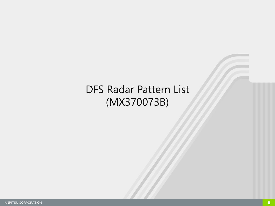### DFS Radar Pattern List (MX370073B)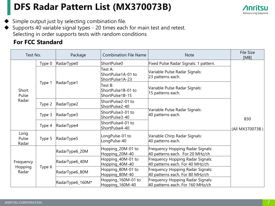### **DFS Radar Pattern List (MX370073B)**



Simple output just by selecting combination file.

Supports 40 variable signal types - 20 times each for main test and retest. Selecting in order supports tests with random conditions

#### **For FCC Standard**

| Test No.                      |                      | Package          | <b>Combination File Name</b>                     | <b>Note</b>                                                                 | File Size<br>[MB]      |
|-------------------------------|----------------------|------------------|--------------------------------------------------|-----------------------------------------------------------------------------|------------------------|
|                               | Type 0               | RadarType0       | ShortPulse0                                      | Fixed Pulse Radar Signals: 1 pattern.                                       |                        |
| Short<br>Pulse<br>Radar       | Type 1               |                  | Test A:<br>ShortPulse1A-01 to<br>ShortPulse1A-23 | Variable Pulse Radar Signals:<br>23 patterns each.                          | 830<br>(All MX370073B) |
|                               |                      | RadarType1       | Test B:<br>ShortPulse1B-01 to<br>ShortPulse1B-15 | Variable Pulse Radar Signals:<br>15 patterns each.                          |                        |
|                               | Type 2               | RadarType2       | ShortPulse2-01 to<br>ShortPulse2-40              |                                                                             |                        |
|                               | Type 3               | RadarType3       | ShortPulse3-01 to<br>ShortPulse3-40              | Variable Pulse Radar Signals:<br>40 patterns each.                          |                        |
|                               | Type 4               | RadarType4       | ShortPulse4-01 to<br>ShortPulse4-40              |                                                                             |                        |
| Long<br>Pulse<br>Radar        | Type 5<br>RadarType5 |                  | LongPulse-01 to<br>LongPulse-40                  | Variable Chirp Radar Signals:<br>40 patterns each.                          |                        |
| Frequency<br>Hopping<br>Radar |                      | RadarType6_20M   | Hopping_20M-01 to<br>Hopping_20M-40              | Frequency Hopping Radar Signals:<br>40 patterns each. For 20 MHz/ch         |                        |
|                               |                      | RadarType6_40M   | Hopping_40M-01 to<br>Hopping_40M-40              | Frequency Hopping Radar Signals:<br>40 patterns each. For 40 MHz/ch         |                        |
|                               | Type 6               | RadarType6_80M   | Hopping_80M-01 to<br>Hopping_80M-40              | Frequency Hopping Radar Signals:<br>40 patterns each. For 80 MHz/ch         |                        |
|                               |                      | RadarType6_160M* | Hopping_160M-01 to<br>Hopping_160M-40            | <b>Frequency Hopping Radar Signals:</b><br>40 patterns each. For 160 MHz/ch |                        |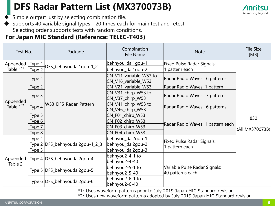### **DFS Radar Pattern List (MX370073B)**



Simple output just by selecting combination file.

◆ Supports 40 variable signal types - 20 times each for main test and retest. Selecting order supports tests with random conditions.

#### **For Japan MIC Standard (Reference: TELEC-T403)**

| Test No.                |                   | Package                           | Combination<br><b>File Name</b>               | <b>Note</b>                       | <b>File Size</b><br>[MB] |
|-------------------------|-------------------|-----------------------------------|-----------------------------------------------|-----------------------------------|--------------------------|
| Appended                | Type 1            | DFS_behhyoudai1gou-1_2            | behhyou_dai1gou-1                             | Fixed Pulse Radar Signals:        |                          |
| Table $1^{\text{*1}}$   | Type 2            |                                   | behhyou_dai1gou-2                             | 1 pattern each                    |                          |
|                         | Type 1            |                                   | CN_V11_variable_W53 to<br>CN_V16_variable_W53 | Radar Radio Waves: 6 patterns     | 830<br>(All MX370073B)   |
|                         | Type 2            |                                   | CN_V21_variable_W53                           | Radar Radio Waves: 1 pattern      |                          |
|                         | Type 3            |                                   | CN_V31_chirp_W53 to<br>CN_V37_chirp_W53       | Radar Radio Waves: 7 patterns     |                          |
| Appended<br>Table $1^2$ | Type 4            | W53_DFS_Radar_Pattern             | CN_V41_chirp_W53 to<br>CN_V46_chirp_W53       | Radar Radio Waves: 6 patterns     |                          |
|                         | Type 5            |                                   | CN_F01_chirp_W53                              |                                   |                          |
|                         | Type 6            |                                   | CN_F02_chirp_W53                              | Radar Radio Waves: 1 pattern each |                          |
|                         | Type 7            |                                   | CN_F03_chirp_W53                              |                                   |                          |
|                         | Type 8            |                                   | CN_F04_chirp_W53                              |                                   |                          |
|                         | Type 1            |                                   | behhyou_dai2gou-1                             | Fixed Pulse Radar Signals:        |                          |
|                         |                   | Type 2   DFS_behhyoudai2gou-1_2_3 | behhyou_dai2gou-2                             | pattern each                      |                          |
|                         | Type <sub>3</sub> |                                   | behhyou_dai2gou-3                             |                                   |                          |
| Appended                |                   | Type 4   DFS_behhyoudai2gou-4     | behhyou2-4-1 to                               |                                   |                          |
| Table 2                 |                   |                                   | behhyou2-4-40                                 |                                   |                          |
|                         |                   | Type 5   DFS_behhyoudai2gou-5     | behhyou2-5-1 to                               | Variable Pulse Radar Signals:     |                          |
|                         |                   |                                   | behhyou2-5-40                                 | 40 patterns each                  |                          |
|                         |                   | Type 6   DFS_behhyoudai2gou-6     | behhyou2-6-1 to                               |                                   |                          |
|                         |                   |                                   | behhyou2-6-40                                 |                                   |                          |

\*1: Uses waveform patterns prior to July 2019 Japan MIC Standard revision

\*2: Uses new waveform patterns adopted by July 2019 Japan MIC Standard revision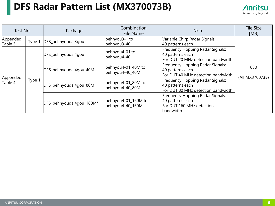### **DFS Radar Pattern List (MX370073B)**



| Test No.            |        | Package                                            | Combination<br>File Name                | <b>Note</b>                                                                                    | File Size<br>[MB] |
|---------------------|--------|----------------------------------------------------|-----------------------------------------|------------------------------------------------------------------------------------------------|-------------------|
| Appended<br>Table 3 | Type 1 | behhyou3-1 to<br>DFS_behhyoudai3gou<br>behhyou3-40 |                                         | Variable Chirp Radar Signals:<br>40 patterns each                                              |                   |
|                     |        | DFS_behhyoudai4gou                                 | behhyou4-01 to<br>behhyou4-40           | Frequency Hopping Radar Signals:<br>40 patterns each<br>For DUT 20 MHz detection bandwidth     | 830               |
| Appended<br>Table 4 | Type 1 | DFS_behhyoudai4gou_40M                             | behhyou4-01_40M to<br>behhyou4-40_40M   | Frequency Hopping Radar Signals:<br>40 patterns each<br>For DUT 40 MHz detection bandwidth     |                   |
|                     |        | DFS_behhyoudai4gou_80M                             | behhyou4-01_80M to<br>behhyou4-40_80M   | Frequency Hopping Radar Signals:<br>40 patterns each<br>For DUT 80 MHz detection bandwidth     | (All MX370073B)   |
|                     |        | DFS_behhyoudai4gou_160M*                           | behhyou4-01_160M to<br>behhyou4-40_160M | Frequency Hopping Radar Signals:<br>40 patterns each<br>For DUT 160 MHz detection<br>bandwidth |                   |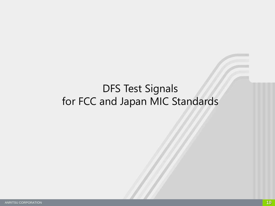### DFS Test Signals for FCC and Japan MIC Standards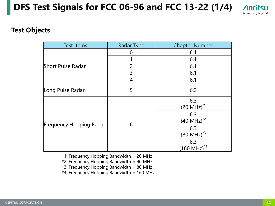### **DFS Test Signals for FCC 06-96 and FCC 13-22 (1/4)**



#### **Test Objects**

| <b>Test Items</b>              | <b>Radar Type</b> | <b>Chapter Number</b>          |
|--------------------------------|-------------------|--------------------------------|
|                                |                   | 6.1                            |
|                                |                   | 6.1                            |
| <b>Short Pulse Radar</b>       | $\overline{2}$    | 6.1                            |
|                                | 3                 | 6.1                            |
|                                | 4                 | 6.1                            |
| Long Pulse Radar               | 5                 | 6.2                            |
|                                |                   | 6.3<br>$(20 \text{ MHz})^{1}$  |
|                                |                   | 6.3<br>$(40 \text{ MHz})^{2}$  |
| <b>Frequency Hopping Radar</b> | 6                 | 6.3<br>$(80 \text{ MHz})^{*3}$ |
|                                |                   | 6.3<br>$(160 \text{ MHz})^{4}$ |

\*1: Frequency Hopping Bandwidth = 20 MHz

\*2: Frequency Hopping Bandwidth = 40 MHz

\*3: Frequency Hopping Bandwidth = 80 MHz

\*4: Frequency Hopping Bandwidth = 160 MHz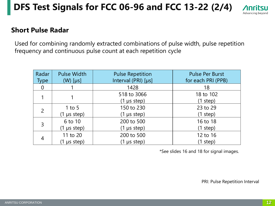### **DFS Test Signals for FCC 06-96 and FCC 13-22 (2/4)**



#### **Short Pulse Radar**

Used for combining randomly extracted combinations of pulse width, pulse repetition frequency and continuous pulse count at each repetition cycle

| Radar<br><b>Type</b> | <b>Pulse Width</b><br>$(W)$ [µs] | <b>Pulse Repetition</b><br>Interval (PRI) [µs] | <b>Pulse Per Burst</b><br>for each PRI (PPB) |
|----------------------|----------------------------------|------------------------------------------------|----------------------------------------------|
| $\overline{0}$       |                                  | 1428                                           | 18                                           |
|                      |                                  | 518 to 3066                                    | 18 to 102                                    |
|                      |                                  | $(1 \mu s$ step)                               | (1 step)                                     |
| $\overline{2}$       | 1 to 5                           | 150 to 230                                     | 23 to 29                                     |
|                      | $(1 \mu s$ step)                 | $(1 \mu s$ step)                               | (1 step)                                     |
|                      | 6 to 10                          | 200 to 500                                     | 16 to 18                                     |
| 3                    | $(1 \mu s$ step)                 | $(1 \mu s$ step)                               | (1 step)                                     |
|                      | 11 to 20                         | 200 to 500                                     | 12 to 16                                     |
| 4                    | $(1 \mu s$ step)                 | $(1 \mu s$ step)                               | (1 step)                                     |

\*See slides 16 and 18 for signal images.

PRI: Pulse Repetition Interval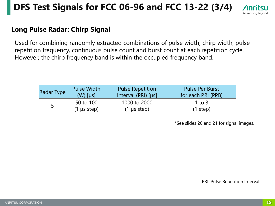### **DFS Test Signals for FCC 06-96 and FCC 13-22 (3/4)**



#### **Long Pulse Radar: Chirp Signal**

Used for combining randomly extracted combinations of pulse width, chirp width, pulse repetition frequency, continuous pulse count and burst count at each repetition cycle. However, the chirp frequency band is within the occupied frequency band.

| Radar Type | Pulse Width      | <b>Pulse Repetition</b> | <b>Pulse Per Burst</b> |
|------------|------------------|-------------------------|------------------------|
|            | $(W)$ [µs]       | Interval (PRI) [µs]     | for each PRI (PPB)     |
| 5          | 50 to 100        | 1000 to 2000            | 1 to 3                 |
|            | $(1 \mu s$ step) | $(1 \mu s$ step)        | $(1$ step)             |

\*See slides 20 and 21 for signal images.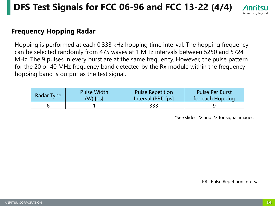### **DFS Test Signals for FCC 06-96 and FCC 13-22 (4/4)**



#### **Frequency Hopping Radar**

Hopping is performed at each 0.333 kHz hopping time interval. The hopping frequency can be selected randomly from 475 waves at 1 MHz intervals between 5250 and 5724 MHz. The 9 pulses in every burst are at the same frequency. However, the pulse pattern for the 20 or 40 MHz frequency band detected by the Rx module within the frequency hopping band is output as the test signal.

| Radar Type | <b>Pulse Width</b> | <b>Pulse Repetition</b> | <b>Pulse Per Burst</b> |
|------------|--------------------|-------------------------|------------------------|
|            | $(W)$ [µs]         | Interval (PRI) $[µs]$   | for each Hopping       |
|            |                    | 333                     |                        |

\*See slides 22 and 23 for signal images.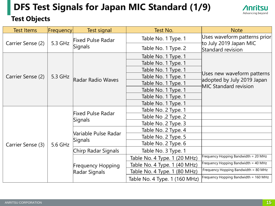## **DFS Test Signals for Japan MIC Standard (1/9)**



#### **Test Objects**

| <b>Test Items</b> | Frequency | Test signal                  | Test No.                      | <b>Note</b>                                              |  |
|-------------------|-----------|------------------------------|-------------------------------|----------------------------------------------------------|--|
| Carrier Sense (2) | 5.3 GHz   | <b>Fixed Pulse Radar</b>     | Table No. 1 Type. 1           | Uses waveform patterns prior<br>to July 2019 Japan MIC   |  |
|                   |           | Signals                      | Table No. 1 Type. 2           | Standard revision                                        |  |
|                   |           |                              | Table No. 1 Type. 1           |                                                          |  |
|                   |           |                              | Table No. 1 Type. 1           |                                                          |  |
|                   |           |                              | Table No. 1 Type. 1           |                                                          |  |
| Carrier Sense (2) | 5.3 GHz   | <b>Radar Radio Waves</b>     | Table No. 1 Type. 1           | Uses new waveform patterns<br>adopted by July 2019 Japan |  |
|                   |           |                              | Table No. 1 Type. 1           | <b>MIC Standard revision</b>                             |  |
|                   |           |                              | Table No. 1 Type. 1           |                                                          |  |
|                   |           |                              | Table No. 1 Type. 1           |                                                          |  |
|                   |           |                              | Table No. 1 Type. 1           |                                                          |  |
|                   |           | Fixed Pulse Radar<br>Signals | Table No. 2 Type. 1           |                                                          |  |
|                   |           |                              | Table No. 2 Type. 2           |                                                          |  |
|                   |           |                              | Table No. 2 Type. 3           |                                                          |  |
|                   |           |                              | Table No. 2 Type. 4           |                                                          |  |
|                   |           | Variable Pulse Radar         | Table No. 2 Type. 5           |                                                          |  |
| Carrier Sense (3) | 5.6 GHz   | Signals                      | Table No. 2 Type. 6           |                                                          |  |
|                   |           | Chirp Radar Signals          | Table No. 3 Type. 1           |                                                          |  |
|                   |           |                              | Table No. 4 Type. 1 (20 MHz)  | Frequency Hopping Bandwidth = 20 MHz                     |  |
|                   |           | <b>Frequency Hopping</b>     | Table No. 4 Type. 1 (40 MHz)  | Frequency Hopping Bandwidth = 40 MHz                     |  |
|                   |           | Radar Signals                | Table No. 4 Type. 1 (80 MHz)  | :Frequency Hopping Bandwidth = 80 MHz                    |  |
|                   |           |                              | Table No. 4 Type. 1 (160 MHz) | Frequency Hopping Bandwidth = 160 MHz                    |  |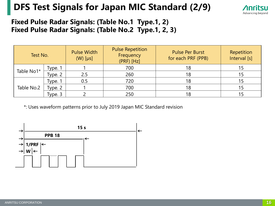### **DFS Test Signals for Japan MIC Standard (2/9)**



#### **Fixed Pulse Radar Signals: (Table No.1 Type.1, 2) Fixed Pulse Radar Signals: (Table No.2 Type.1, 2, 3)**

| Test No.   |           | <b>Pulse Width</b><br>$(W)$ [µs] | <b>Pulse Repetition</b><br>Frequency<br>$(PRF)$ [Hz] | <b>Pulse Per Burst</b><br>for each PRF (PPB) | Repetition<br>Interval [s] |
|------------|-----------|----------------------------------|------------------------------------------------------|----------------------------------------------|----------------------------|
| Table No1* | Type. 1   |                                  | 700                                                  | 18                                           | 15                         |
|            | Type. 2   | 2.5                              | 260                                                  | 18                                           | 15                         |
|            | Type. 1   | 0.5                              | 720                                                  | 18                                           | 15                         |
| Table No.2 | Type. $2$ |                                  | 700                                                  | 18                                           | 15                         |
|            | Type. 3   |                                  | 250                                                  | 18                                           |                            |

\*: Uses waveform patterns prior to July 2019 Japan MIC Standard revision

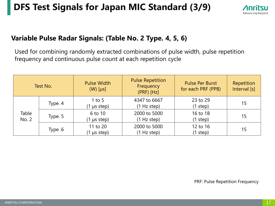### **DFS Test Signals for Japan MIC Standard (3/9)**



#### **Variable Pulse Radar Signals: (Table No. 2 Type. 4, 5, 6)**

Used for combining randomly extracted combinations of pulse width, pulse repetition frequency and continuous pulse count at each repetition cycle

| Test No.       |         | <b>Pulse Width</b><br>$(W)$ [µs] | <b>Pulse Repetition</b><br>Frequency<br>$(PRF)$ [Hz] | <b>Pulse Per Burst</b><br>for each PRF (PPB) | Repetition<br>Interval [s] |
|----------------|---------|----------------------------------|------------------------------------------------------|----------------------------------------------|----------------------------|
|                | Type. 4 | 1 to 5<br>$(1 \mu s$ step)       | 4347 to 6667<br>(1 Hz step)                          | 23 to 29<br>(1 step)                         | 15                         |
| Table<br>No. 2 | Type. 5 | 6 to 10<br>$(1 \mu s$ step)      | 2000 to 5000<br>(1 Hz step)                          | 16 to 18<br>(1 step)                         | 15                         |
|                | Type .6 | 11 to 20<br>$(1 \mu s$ step)     | 2000 to 5000<br>(1 Hz step)                          | 12 to 16<br>(1 step)                         | 15                         |

PRF: Pulse Repetition Frequency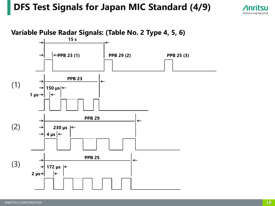### **DFS Test Signals for Japan MIC Standard (4/9)**



**Variable Pulse Radar Signals: (Table No. 2 Type 4, 5, 6)**

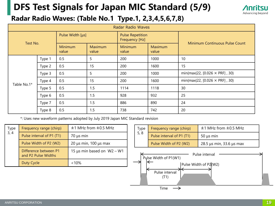### **DFS Test Signals for Japan MIC Standard (5/9)**



### **Radar Radio Waves: (Table No.1 Type.1, 2,3,4,5,6,7,8)**

| <b>Radar Radio Waves</b> |        |                  |                         |                                           |                  |                                       |
|--------------------------|--------|------------------|-------------------------|-------------------------------------------|------------------|---------------------------------------|
| Test No.                 |        | Pulse Width [µs] |                         | <b>Pulse Repetition</b><br>Frequency [Hz] |                  | <b>Minimum Continuous Pulse Count</b> |
|                          |        | Minimum<br>value | <b>Maximum</b><br>value | <b>Minimum</b><br>value                   | Maximum<br>value |                                       |
|                          | Type 1 | 0.5              | 5                       | 200                                       | 1000             | 10                                    |
|                          | Type 2 | 0.5              | 15                      | 200                                       | 1600             | 15                                    |
|                          | Type 3 | 0.5              | 5                       | 200                                       | 1000             | min{max{22, [0.026 $\times$ PRF], 30} |
| Table No.1*              | Type 4 | 0.5              | 15                      | 200                                       | 1600             | min{max{22, [0.026 $\times$ PRF], 30} |
|                          | Type 5 | 0.5              | 1.5                     | 1114                                      | 1118             | 30                                    |
|                          | Type 6 | 0.5              | 1.5                     | 928                                       | 932              | 25                                    |
|                          | Type 7 | 0.5              | 1.5                     | 886                                       | 890              | 24                                    |
|                          | Type 8 | 0.5              | 1.5                     | 738                                       | 742              | 20                                    |

\*: Uses new waveform patterns adopted by July 2019 Japan MIC Standard revision

| Type | Frequency range (chirp)                      | $±1$ MHz from $±0.5$ MHz   |
|------|----------------------------------------------|----------------------------|
| 3, 4 | Pulse interval of P1 (T1)                    | $70 \mu s$ min             |
|      | Pulse Width of P2 (W2)                       | 20 μs min, $100$ μs max    |
|      | Difference between P1<br>and P2 Pulse Widths | 15 µs min based on W2 - W1 |
|      | Duty Cycle                                   | $< 10\%$                   |

| Type | Frequency range (chirp)   | $±1$ MHz from $±0.5$ MHz |
|------|---------------------------|--------------------------|
| 5, 8 | Pulse interval of P1 (T1) | $50 \mu s$ min           |
|      | Pulse Width of P2 (W2)    | 28.5 µs min, 33.6 µs max |

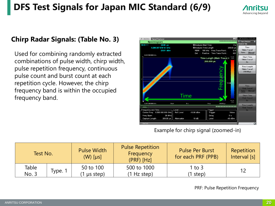### **DFS Test Signals for Japan MIC Standard (6/9)**



#### **Chirp Radar Signals: (Table No. 3)**

Used for combining randomly extracted combinations of pulse width, chirp width, pulse repetition frequency, continuous pulse count and burst count at each repetition cycle. However, the chirp frequency band is within the occupied frequency band.



| Test No.       |         | <b>Pulse Width</b><br>$(W)$ [µs] | <b>Pulse Repetition</b><br>Frequency<br>$(PRF)$ [Hz] | <b>Pulse Per Burst</b><br>for each PRF (PPB) | Repetition<br>Interval [s] |
|----------------|---------|----------------------------------|------------------------------------------------------|----------------------------------------------|----------------------------|
| Table<br>No. 3 | Type. 1 | 50 to 100<br>us step)            | 500 to 1000<br>(1 Hz step)                           | 1 to $3$<br>step)                            | 12                         |

PRF: Pulse Repetition Frequency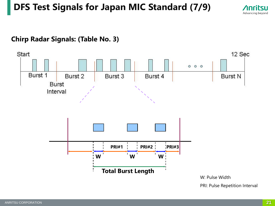### **DFS Test Signals for Japan MIC Standard (7/9)**



#### **Chirp Radar Signals: (Table No. 3)**

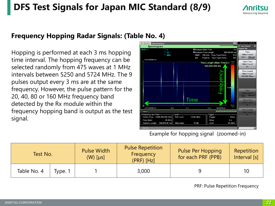### **DFS Test Signals for Japan MIC Standard (8/9)**



#### **Frequency Hopping Radar Signals: (Table No. 4)**

Hopping is performed at each 3 ms hopping time interval. The hopping frequency can be selected randomly from 475 waves at 1 MHz intervals between 5250 and 5724 MHz. The 9 pulses output every 3 ms are at the same frequency. However, the pulse pattern for the 20, 40, 80 or 160 MHz frequency band detected by the Rx module within the frequency hopping band is output as the test signal.



| Test No.    |         | <b>Pulse Width</b><br>$(W)$ [µs] | <b>Pulse Repetition</b><br>Frequency<br>$(PRF)$ [Hz] | <b>Pulse Per Hopping</b><br>for each PRF (PPB) | Repetition<br>Interval [s] |
|-------------|---------|----------------------------------|------------------------------------------------------|------------------------------------------------|----------------------------|
| Table No. 4 | Type. 1 |                                  | 3,000                                                | Q                                              | 10                         |

PRF: Pulse Repetition Frequency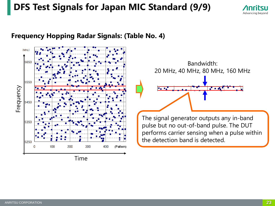### **DFS Test Signals for Japan MIC Standard (9/9)**



#### **Frequency Hopping Radar Signals: (Table No. 4)**



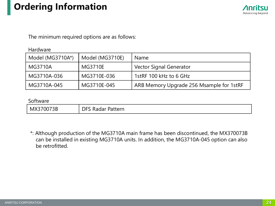### **Ordering Information**



The minimum required options are as follows:

#### Hardware

| Model (MG3710A*) | Model (MG3710E) | <b>Name</b>                              |
|------------------|-----------------|------------------------------------------|
| MG3710A          | MG3710E         | Vector Signal Generator                  |
| MG3710A-036      | MG3710E-036     | 1stRF 100 kHz to 6 GHz                   |
| MG3710A-045      | MG3710E-045     | ARB Memory Upgrade 256 Msample for 1stRF |

#### Software

| u<br>allen i<br>1 C<br><b>\dUdl</b><br>-<br>$\sim$ | 073B<br><b>NIX</b> | $1 - + - - - -$<br>. |
|----------------------------------------------------|--------------------|----------------------|
|----------------------------------------------------|--------------------|----------------------|

\*: Although production of the MG3710A main frame has been discontinued, the MX370073B can be installed in existing MG3710A units. In addition, the MG3710A-045 option can also be retrofitted.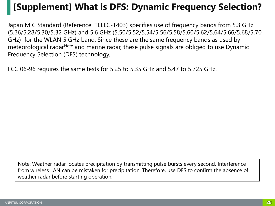### **[Supplement] What is DFS: Dynamic Frequency Selection?**

Japan MIC Standard (Reference: TELEC-T403) specifies use of frequency bands from 5.3 GHz (5.26/5.28/5.30/5.32 GHz) and 5.6 GHz (5.50/5.52/5.54/5.56/5.58/5.60/5.62/5.64/5.66/5.68/5.70 GHz) for the WLAN 5 GHz band. Since these are the same frequency bands as used by meteorological radar<sup>Note</sup> and marine radar, these pulse signals are obliged to use Dynamic Frequency Selection (DFS) technology.

FCC 06-96 requires the same tests for 5.25 to 5.35 GHz and 5.47 to 5.725 GHz.

Note: Weather radar locates precipitation by transmitting pulse bursts every second. Interference from wireless LAN can be mistaken for precipitation. Therefore, use DFS to confirm the absence of weather radar before starting operation.